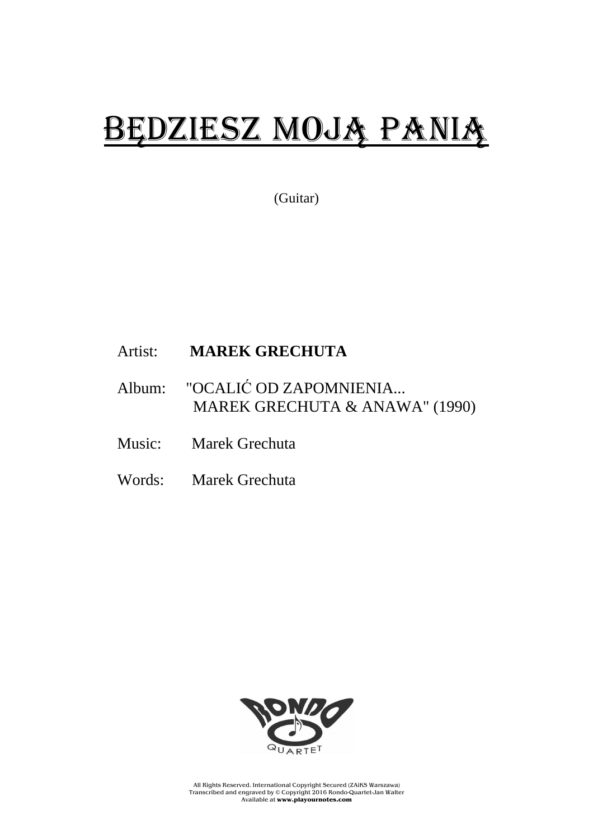## BĘDZIESZ MOJĄ PANIĄ

(Guitar)

## Artist: **MAREK GRECHUTA**

- Album: "OCALIĆ OD ZAPOMNIENIA... MAREK GRECHUTA & ANAWA" (1990)
- Music: Marek Grechuta
- Words: Marek Grechuta



All Rights Reserved. International Copyright Secured (ZAiKS Warszawa) Transcribed and engraved by © Copyright 2016 Rondo-Quartet-Jan Walter Available at **www.playournotes.com**